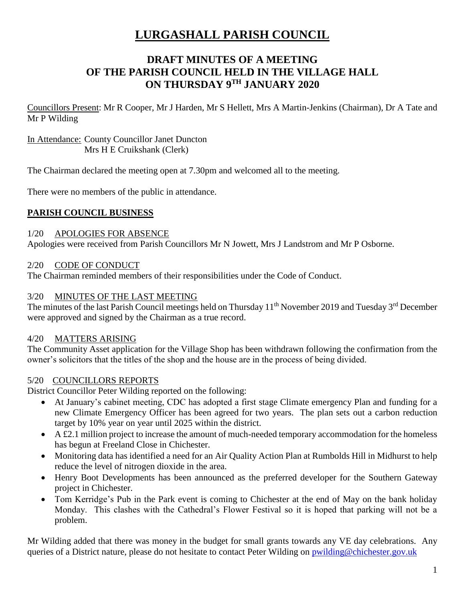# **LURGASHALL PARISH COUNCIL**

# **DRAFT MINUTES OF A MEETING OF THE PARISH COUNCIL HELD IN THE VILLAGE HALL ON THURSDAY 9 TH JANUARY 2020**

Councillors Present: Mr R Cooper, Mr J Harden, Mr S Hellett, Mrs A Martin-Jenkins (Chairman), Dr A Tate and Mr P Wilding

### In Attendance: County Councillor Janet Duncton Mrs H E Cruikshank (Clerk)

The Chairman declared the meeting open at 7.30pm and welcomed all to the meeting.

There were no members of the public in attendance.

# **PARISH COUNCIL BUSINESS**

### 1/20 APOLOGIES FOR ABSENCE

Apologies were received from Parish Councillors Mr N Jowett, Mrs J Landstrom and Mr P Osborne.

### 2/20 CODE OF CONDUCT

The Chairman reminded members of their responsibilities under the Code of Conduct.

### 3/20 MINUTES OF THE LAST MEETING

The minutes of the last Parish Council meetings held on Thursday 11<sup>th</sup> November 2019 and Tuesday 3<sup>rd</sup> December were approved and signed by the Chairman as a true record.

# 4/20 MATTERS ARISING

The Community Asset application for the Village Shop has been withdrawn following the confirmation from the owner's solicitors that the titles of the shop and the house are in the process of being divided.

# 5/20 COUNCILLORS REPORTS

District Councillor Peter Wilding reported on the following:

- At January's cabinet meeting, CDC has adopted a first stage Climate emergency Plan and funding for a new Climate Emergency Officer has been agreed for two years. The plan sets out a carbon reduction target by 10% year on year until 2025 within the district.
- A £2.1 million project to increase the amount of much-needed temporary accommodation for the homeless has begun at Freeland Close in Chichester.
- Monitoring data has identified a need for an Air Quality Action Plan at Rumbolds Hill in Midhurst to help reduce the level of nitrogen dioxide in the area.
- Henry Boot Developments has been announced as the preferred developer for the Southern Gateway project in Chichester.
- Tom Kerridge's Pub in the Park event is coming to Chichester at the end of May on the bank holiday Monday. This clashes with the Cathedral's Flower Festival so it is hoped that parking will not be a problem.

Mr Wilding added that there was money in the budget for small grants towards any VE day celebrations. Any queries of a District nature, please do not hesitate to contact Peter Wilding on [pwilding@chichester.gov.uk](mailto:pwilding@chichester.gov.uk)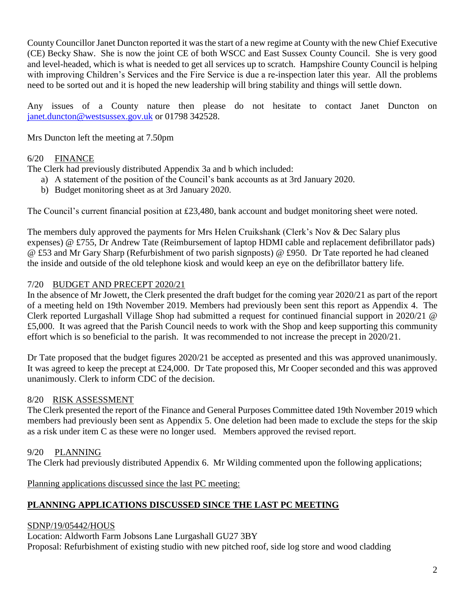County Councillor Janet Duncton reported it was the start of a new regime at County with the new Chief Executive (CE) Becky Shaw. She is now the joint CE of both WSCC and East Sussex County Council. She is very good and level-headed, which is what is needed to get all services up to scratch. Hampshire County Council is helping with improving Children's Services and the Fire Service is due a re-inspection later this year. All the problems need to be sorted out and it is hoped the new leadership will bring stability and things will settle down.

Any issues of a County nature then please do not hesitate to contact Janet Duncton on [janet.duncton@westsussex.gov.uk](mailto:janet.duncton@westsussex.gov.uk) or 01798 342528.

Mrs Duncton left the meeting at 7.50pm

# 6/20 FINANCE

The Clerk had previously distributed Appendix 3a and b which included:

- a) A statement of the position of the Council's bank accounts as at 3rd January 2020.
- b) Budget monitoring sheet as at 3rd January 2020.

The Council's current financial position at £23,480, bank account and budget monitoring sheet were noted.

The members duly approved the payments for Mrs Helen Cruikshank (Clerk's Nov & Dec Salary plus expenses) @ £755, Dr Andrew Tate (Reimbursement of laptop HDMI cable and replacement defibrillator pads) @ £53 and Mr Gary Sharp (Refurbishment of two parish signposts) @ £950. Dr Tate reported he had cleaned the inside and outside of the old telephone kiosk and would keep an eye on the defibrillator battery life.

### 7/20 BUDGET AND PRECEPT 2020/21

In the absence of Mr Jowett, the Clerk presented the draft budget for the coming year 2020/21 as part of the report of a meeting held on 19th November 2019. Members had previously been sent this report as Appendix 4. The Clerk reported Lurgashall Village Shop had submitted a request for continued financial support in 2020/21 @ £5,000. It was agreed that the Parish Council needs to work with the Shop and keep supporting this community effort which is so beneficial to the parish. It was recommended to not increase the precept in 2020/21.

Dr Tate proposed that the budget figures 2020/21 be accepted as presented and this was approved unanimously. It was agreed to keep the precept at £24,000. Dr Tate proposed this, Mr Cooper seconded and this was approved unanimously. Clerk to inform CDC of the decision.

### 8/20 RISK ASSESSMENT

The Clerk presented the report of the Finance and General Purposes Committee dated 19th November 2019 which members had previously been sent as Appendix 5. One deletion had been made to exclude the steps for the skip as a risk under item C as these were no longer used. Members approved the revised report.

# 9/20 PLANNING

The Clerk had previously distributed Appendix 6. Mr Wilding commented upon the following applications;

Planning applications discussed since the last PC meeting:

# **PLANNING APPLICATIONS DISCUSSED SINCE THE LAST PC MEETING**

# SDNP/19/05442/HOUS

Location: Aldworth Farm Jobsons Lane Lurgashall GU27 3BY Proposal: Refurbishment of existing studio with new pitched roof, side log store and wood cladding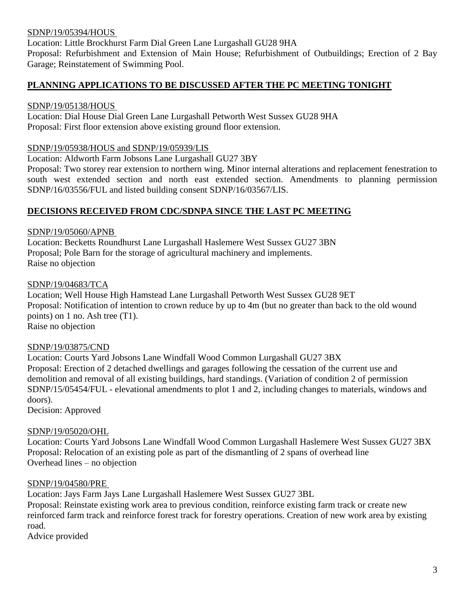### SDNP/19/05394/HOUS

Location: Little Brockhurst Farm Dial Green Lane Lurgashall GU28 9HA

Proposal: Refurbishment and Extension of Main House; Refurbishment of Outbuildings; Erection of 2 Bay Garage; Reinstatement of Swimming Pool.

### **PLANNING APPLICATIONS TO BE DISCUSSED AFTER THE PC MEETING TONIGHT**

### SDNP/19/05138/HOUS

Location: Dial House Dial Green Lane Lurgashall Petworth West Sussex GU28 9HA Proposal: First floor extension above existing ground floor extension.

#### SDNP/19/05938/HOUS and SDNP/19/05939/LIS

Location: Aldworth Farm Jobsons Lane Lurgashall GU27 3BY

Proposal: Two storey rear extension to northern wing. Minor internal alterations and replacement fenestration to south west extended section and north east extended section. Amendments to planning permission SDNP/16/03556/FUL and listed building consent SDNP/16/03567/LIS.

### **DECISIONS RECEIVED FROM CDC/SDNPA SINCE THE LAST PC MEETING**

### SDNP/19/05060/APNB

Location: Becketts Roundhurst Lane Lurgashall Haslemere West Sussex GU27 3BN Proposal; Pole Barn for the storage of agricultural machinery and implements. Raise no objection

#### SDNP/19/04683/TCA

Location; Well House High Hamstead Lane Lurgashall Petworth West Sussex GU28 9ET Proposal: Notification of intention to crown reduce by up to 4m (but no greater than back to the old wound points) on 1 no. Ash tree (T1). Raise no objection

#### SDNP/19/03875/CND

Location: Courts Yard Jobsons Lane Windfall Wood Common Lurgashall GU27 3BX Proposal: Erection of 2 detached dwellings and garages following the cessation of the current use and demolition and removal of all existing buildings, hard standings. (Variation of condition 2 of permission SDNP/15/05454/FUL - elevational amendments to plot 1 and 2, including changes to materials, windows and doors).

Decision: Approved

#### SDNP/19/05020/OHL

Location: Courts Yard Jobsons Lane Windfall Wood Common Lurgashall Haslemere West Sussex GU27 3BX Proposal: Relocation of an existing pole as part of the dismantling of 2 spans of overhead line Overhead lines – no objection

#### SDNP/19/04580/PRE

Location: Jays Farm Jays Lane Lurgashall Haslemere West Sussex GU27 3BL

Proposal: Reinstate existing work area to previous condition, reinforce existing farm track or create new reinforced farm track and reinforce forest track for forestry operations. Creation of new work area by existing road.

Advice provided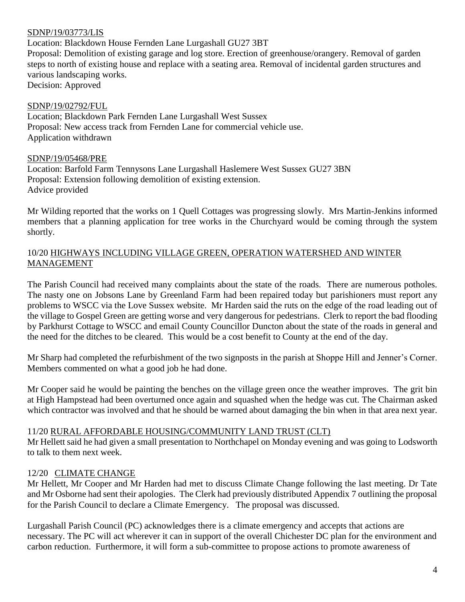### SDNP/19/03773/LIS

Location: Blackdown House Fernden Lane Lurgashall GU27 3BT

Proposal: Demolition of existing garage and log store. Erection of greenhouse/orangery. Removal of garden steps to north of existing house and replace with a seating area. Removal of incidental garden structures and various landscaping works.

Decision: Approved

### SDNP/19/02792/FUL

Location; Blackdown Park Fernden Lane Lurgashall West Sussex Proposal: New access track from Fernden Lane for commercial vehicle use. Application withdrawn

### SDNP/19/05468/PRE

Location: Barfold Farm Tennysons Lane Lurgashall Haslemere West Sussex GU27 3BN Proposal: Extension following demolition of existing extension. Advice provided

Mr Wilding reported that the works on 1 Quell Cottages was progressing slowly. Mrs Martin-Jenkins informed members that a planning application for tree works in the Churchyard would be coming through the system shortly.

### 10/20 HIGHWAYS INCLUDING VILLAGE GREEN, OPERATION WATERSHED AND WINTER MANAGEMENT

The Parish Council had received many complaints about the state of the roads. There are numerous potholes. The nasty one on Jobsons Lane by Greenland Farm had been repaired today but parishioners must report any problems to WSCC via the Love Sussex website. Mr Harden said the ruts on the edge of the road leading out of the village to Gospel Green are getting worse and very dangerous for pedestrians. Clerk to report the bad flooding by Parkhurst Cottage to WSCC and email County Councillor Duncton about the state of the roads in general and the need for the ditches to be cleared. This would be a cost benefit to County at the end of the day.

Mr Sharp had completed the refurbishment of the two signposts in the parish at Shoppe Hill and Jenner's Corner. Members commented on what a good job he had done.

Mr Cooper said he would be painting the benches on the village green once the weather improves. The grit bin at High Hampstead had been overturned once again and squashed when the hedge was cut. The Chairman asked which contractor was involved and that he should be warned about damaging the bin when in that area next year.

#### 11/20 RURAL AFFORDABLE HOUSING/COMMUNITY LAND TRUST (CLT)

Mr Hellett said he had given a small presentation to Northchapel on Monday evening and was going to Lodsworth to talk to them next week.

### 12/20 CLIMATE CHANGE

Mr Hellett, Mr Cooper and Mr Harden had met to discuss Climate Change following the last meeting. Dr Tate and Mr Osborne had sent their apologies. The Clerk had previously distributed Appendix 7 outlining the proposal for the Parish Council to declare a Climate Emergency. The proposal was discussed.

Lurgashall Parish Council (PC) acknowledges there is a climate emergency and accepts that actions are necessary. The PC will act wherever it can in support of the overall Chichester DC plan for the environment and carbon reduction. Furthermore, it will form a sub-committee to propose actions to promote awareness of